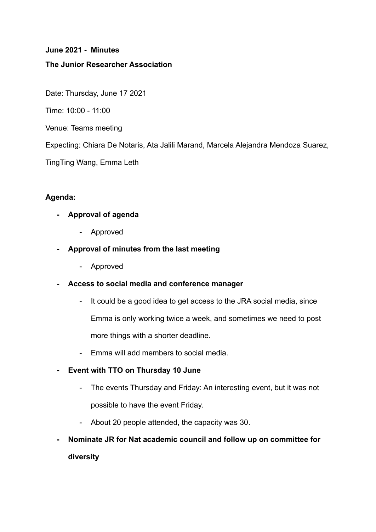# **June 2021 - Minutes The Junior Researcher Association**

Date: Thursday, June 17 2021

Time: 10:00 - 11:00

Venue: Teams meeting

Expecting: Chiara De Notaris, Ata Jalili Marand, Marcela Alejandra Mendoza Suarez,

TingTing Wang, Emma Leth

#### **Agenda:**

- **- Approval of agenda**
	- Approved
- **- Approval of minutes from the last meeting**
	- Approved
- **- Access to social media and conference manager**
	- It could be a good idea to get access to the JRA social media, since Emma is only working twice a week, and sometimes we need to post more things with a shorter deadline.
	- Emma will add members to social media.

#### **- Event with TTO on Thursday 10 June**

- The events Thursday and Friday: An interesting event, but it was not possible to have the event Friday.
- About 20 people attended, the capacity was 30.
- **- Nominate JR for Nat academic council and follow up on committee for diversity**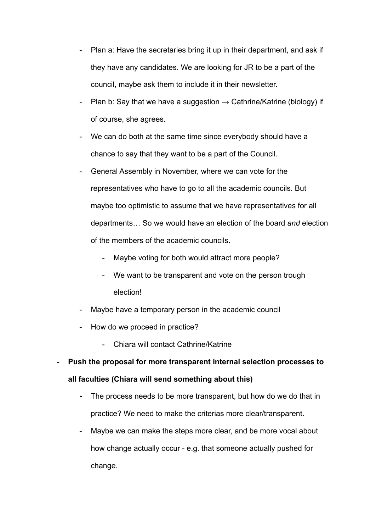- Plan a: Have the secretaries bring it up in their department, and ask if they have any candidates. We are looking for JR to be a part of the council, maybe ask them to include it in their newsletter.
- Plan b: Say that we have a suggestion  $\rightarrow$  Cathrine/Katrine (biology) if of course, she agrees.
- We can do both at the same time since everybody should have a chance to say that they want to be a part of the Council.
- General Assembly in November, where we can vote for the representatives who have to go to all the academic councils. But maybe too optimistic to assume that we have representatives for all departments… So we would have an election of the board *and* election of the members of the academic councils.
	- Maybe voting for both would attract more people?
	- We want to be transparent and vote on the person trough election!
- Maybe have a temporary person in the academic council
- How do we proceed in practice?
	- Chiara will contact Cathrine/Katrine
- **- Push the proposal for more transparent internal selection processes to all faculties (Chiara will send something about this)**
	- **-** The process needs to be more transparent, but how do we do that in practice? We need to make the criterias more clear/transparent.
	- Maybe we can make the steps more clear, and be more vocal about how change actually occur - e.g. that someone actually pushed for change.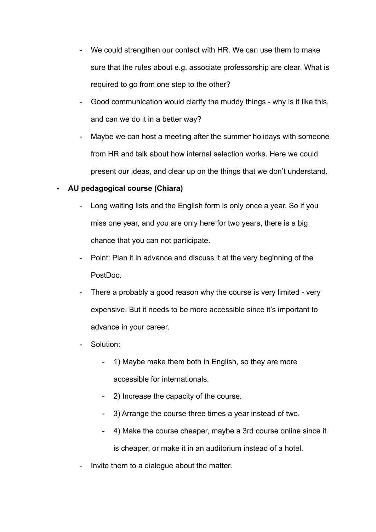- We could strengthen our contact with HR. We can use them to make sure that the rules about e.g. associate professorship are clear. What is required to go from one step to the other?
- Good communication would clarify the muddy things why is it like this, and can we do it in a better way?
- Maybe we can host a meeting after the summer holidays with someone from HR and talk about how internal selection works. Here we could present our ideas, and clear up on the things that we don't understand.

## **- AU pedagogical course (Chiara)**

- Long waiting lists and the English form is only once a year. So if you miss one year, and you are only here for two years, there is a big chance that you can not participate.
- Point: Plan it in advance and discuss it at the very beginning of the PostDoc.
- There a probably a good reason why the course is very limited very expensive. But it needs to be more accessible since it's important to advance in your career.
- Solution:
	- 1) Maybe make them both in English, so they are more accessible for internationals.
	- 2) Increase the capacity of the course.
	- 3) Arrange the course three times a year instead of two.
	- 4) Make the course cheaper, maybe a 3rd course online since it is cheaper, or make it in an auditorium instead of a hotel.
- Invite them to a dialogue about the matter.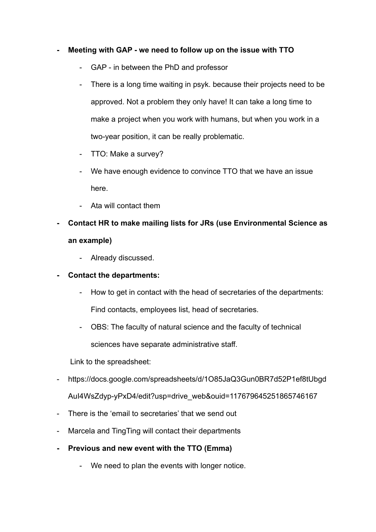### **- Meeting with GAP - we need to follow up on the issue with TTO**

- GAP in between the PhD and professor
- There is a long time waiting in psyk. because their projects need to be approved. Not a problem they only have! It can take a long time to make a project when you work with humans, but when you work in a two-year position, it can be really problematic.
- TTO: Make a survey?
- We have enough evidence to convince TTO that we have an issue here.
- Ata will contact them
- **- Contact HR to make mailing lists for JRs (use Environmental Science as an example)**
	- Already discussed.
- **- Contact the departments:**
	- How to get in contact with the head of secretaries of the departments: Find contacts, employees list, head of secretaries.
	- OBS: The faculty of natural science and the faculty of technical sciences have separate administrative staff.

Link to the spreadsheet:

- https://docs.google.com/spreadsheets/d/1O85JaQ3Gun0BR7d52P1ef8tUbgd AuI4WsZdyp-yPxD4/edit?usp=drive\_web&ouid=117679645251865746167
- There is the 'email to secretaries' that we send out
- Marcela and TingTing will contact their departments
- **- Previous and new event with the TTO (Emma)**
	- We need to plan the events with longer notice.